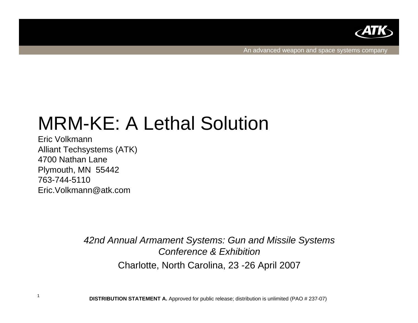

An advanced weapon and space systems company

# MRM-KE: A Lethal Solution

Eric VolkmannAlliant Techsystems (ATK) 4700 Nathan LanePlymouth, MN 55442 763-744-5110Eric.Volkmann@atk.com

1

*42nd Annual Armament Systems: Gun and Missile Systems Conference & Exhibition*Charlotte, North Carolina, 23 -26 April 2007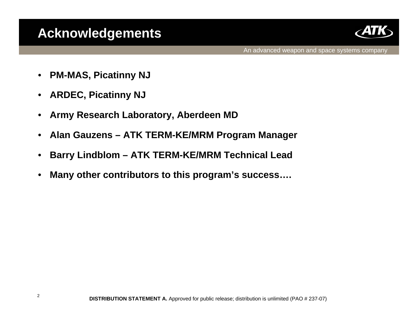## **Acknowledgements**



An advanced weapon and space systems company

- $\bullet$ **PM-MAS, Picatinny NJ**
- $\bullet$ **ARDEC, Picatinny NJ**
- $\bullet$ **Army Research Laboratory, Aberdeen MD**
- $\bullet$ **Alan Gauzens – ATK TERM-KE/MRM Program Manager**
- •**Barry Lindblom – ATK TERM-KE/MRM Technical Lead**
- •**Many other contributors to this program's success….**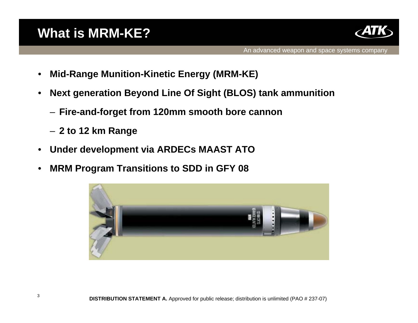# **What is MRM-KE?**



- $\bullet$ **Mid-Range Munition-Kinetic Energy (MRM-KE)**
- $\bullet$  **Next generation Beyond Line Of Sight (BLOS) tank ammunition**
	- **Fire-and-forget from 120mm smooth bore cannon**
	- **2 to 12 km Range**
- $\bullet$ **Under development via ARDECs MAAST ATO**
- $\bullet$ **MRM Program Transitions to SDD in GFY 08**

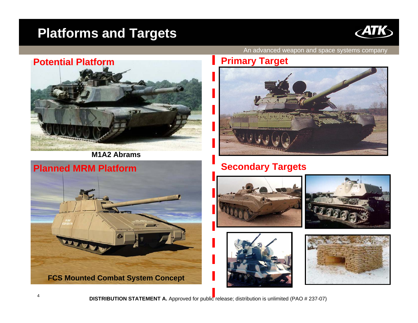### **Platforms and Targets**





**M1A2 Abrams**



An advanced weapon and space systems company

#### **Primary Target**



#### **Secondary Targets**







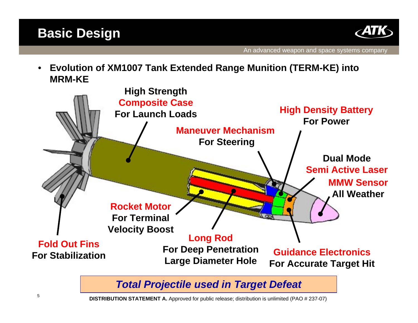



 $\bullet$  **Evolution of XM1007 Tank Extended Range Munition (TERM-KE) into MRM-KE**



*Total Projectile used in Target Defeat*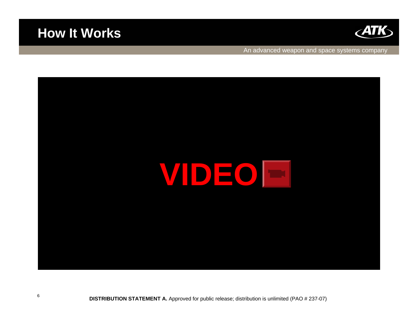

#### **How It Works**

An advanced weapon and space systems company

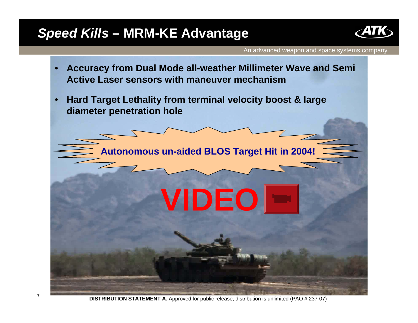### *Speed Kills* **– MRM-KE Advantage**



An advanced weapon and space systems company

- • **Accuracy from Dual Mode all-weather Millimeter Wave and Semi Active Laser sensors with maneuver mechanism**
- • **Hard Target Lethality from terminal velocity boost & large diameter penetration hole**

**Autonomous un-aided BLOS Target Hit in 2004!**

**VIDEO**

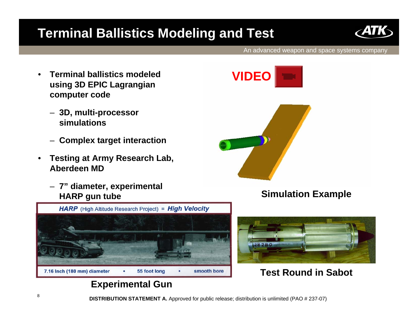# **Terminal Ballistics Modeling and Test**



An advanced weapon and space systems company

- $\bullet$  **Terminal ballistics modeled using 3D EPIC Lagrangian computer code** 
	- **3D, multi-processor simulations**
	- **Complex target interaction**
- $\bullet$  **Testing at Army Research Lab, Aberdeen MD**
	- **7" diameter, experimental HARP gun tube Simulation Example**







#### **Test Round in Sabot**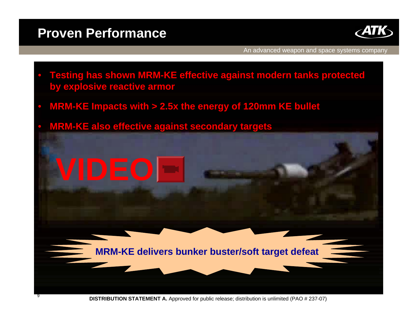### **Proven Performance**

•



An advanced weapon and space systems company

- • **Testing has shown MRM-KE effective against modern tanks protected by explosive reactive armor**
- •**MRM-KE Impacts with > 2.5x the energy of 120mm KE bullet**
- **MRM-KE also effective against secondary targets**